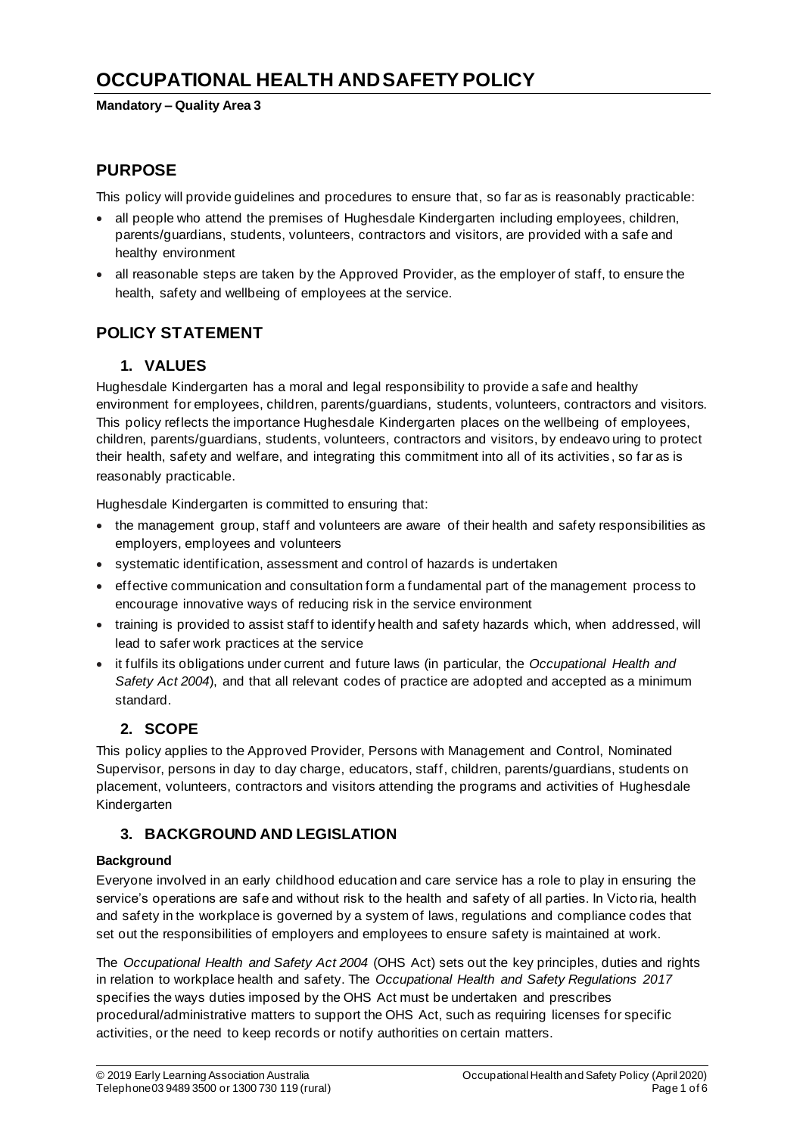# **OCCUPATIONAL HEALTH AND SAFETY POLICY**

#### **Mandatory – Quality Area 3**

### **PURPOSE**

This policy will provide guidelines and procedures to ensure that, so far as is reasonably practicable:

- all people who attend the premises of Hughesdale Kindergarten including employees, children, parents/guardians, students, volunteers, contractors and visitors, are provided with a safe and healthy environment
- all reasonable steps are taken by the Approved Provider, as the employer of staff, to ensure the health, safety and wellbeing of employees at the service.

# **POLICY STATEMENT**

### **1. VALUES**

Hughesdale Kindergarten has a moral and legal responsibility to provide a safe and healthy environment for employees, children, parents/guardians, students, volunteers, contractors and visitors. This policy reflects the importance Hughesdale Kindergarten places on the wellbeing of employees, children, parents/guardians, students, volunteers, contractors and visitors, by endeavo uring to protect their health, safety and welfare, and integrating this commitment into all of its activities , so far as is reasonably practicable.

Hughesdale Kindergarten is committed to ensuring that:

- the management group, staff and volunteers are aware of their health and safety responsibilities as employers, employees and volunteers
- systematic identification, assessment and control of hazards is undertaken
- effective communication and consultation form a fundamental part of the management process to encourage innovative ways of reducing risk in the service environment
- training is provided to assist staff to identify health and safety hazards which, when addressed, will lead to safer work practices at the service
- it fulfils its obligations under current and future laws (in particular, the *Occupational Health and Safety Act 2004*), and that all relevant codes of practice are adopted and accepted as a minimum standard.

# **2. SCOPE**

This policy applies to the Approved Provider, Persons with Management and Control, Nominated Supervisor, persons in day to day charge, educators, staff, children, parents/guardians, students on placement, volunteers, contractors and visitors attending the programs and activities of Hughesdale Kindergarten

# **3. BACKGROUND AND LEGISLATION**

### **Background**

Everyone involved in an early childhood education and care service has a role to play in ensuring the service's operations are safe and without risk to the health and safety of all parties. In Victo ria, health and safety in the workplace is governed by a system of laws, regulations and compliance codes that set out the responsibilities of employers and employees to ensure safety is maintained at work.

The *Occupational Health and Safety Act 2004* (OHS Act) sets out the key principles, duties and rights in relation to workplace health and safety. The *Occupational Health and Safety Regulations 2017* specifies the ways duties imposed by the OHS Act must be undertaken and prescribes procedural/administrative matters to support the OHS Act, such as requiring licenses for specific activities, or the need to keep records or notify authorities on certain matters.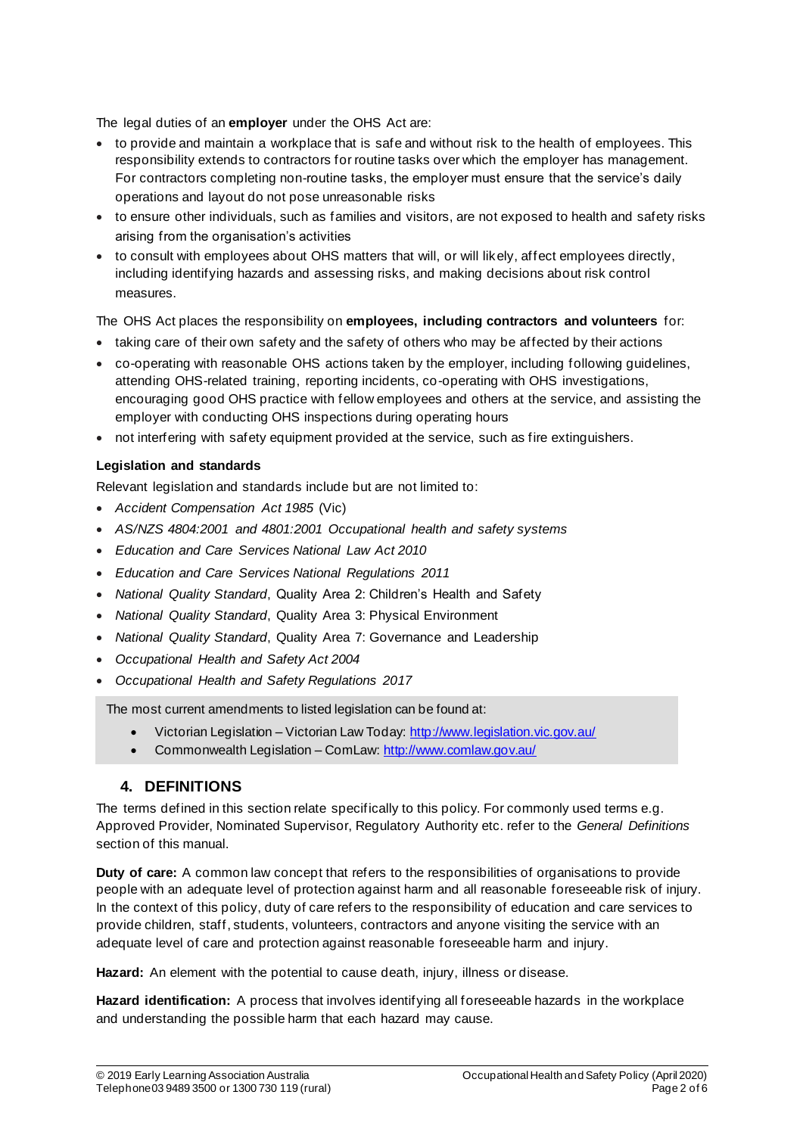The legal duties of an **employer** under the OHS Act are:

- to provide and maintain a workplace that is safe and without risk to the health of employees. This responsibility extends to contractors for routine tasks over which the employer has management. For contractors completing non-routine tasks, the employer must ensure that the service's daily operations and layout do not pose unreasonable risks
- to ensure other individuals, such as families and visitors, are not exposed to health and safety risks arising from the organisation's activities
- to consult with employees about OHS matters that will, or will likely, affect employees directly, including identifying hazards and assessing risks, and making decisions about risk control measures.

The OHS Act places the responsibility on **employees, including contractors and volunteers** for:

- taking care of their own safety and the safety of others who may be affected by their actions
- co-operating with reasonable OHS actions taken by the employer, including following quidelines, attending OHS-related training, reporting incidents, co-operating with OHS investigations, encouraging good OHS practice with fellow employees and others at the service, and assisting the employer with conducting OHS inspections during operating hours
- not interfering with safety equipment provided at the service, such as fire extinguishers.

### **Legislation and standards**

Relevant legislation and standards include but are not limited to:

- *Accident Compensation Act 1985* (Vic)
- *AS/NZS 4804:2001 and 4801:2001 Occupational health and safety systems*
- *Education and Care Services National Law Act 2010*
- *Education and Care Services National Regulations 2011*
- *National Quality Standard*, Quality Area 2: Children's Health and Safety
- *National Quality Standard*, Quality Area 3: Physical Environment
- *National Quality Standard*, Quality Area 7: Governance and Leadership
- *Occupational Health and Safety Act 2004*
- *Occupational Health and Safety Regulations 2017*

The most current amendments to listed legislation can be found at:

- Victorian Legislation Victorian Law Today: http://www.legislation.vic.gov.au/
- Commonwealth Legislation ComLaw: http://www.comlaw.gov.au/

### **4. DEFINITIONS**

The terms defined in this section relate specifically to this policy. For commonly used terms e.g. Approved Provider, Nominated Supervisor, Regulatory Authority etc. refer to the *General Definitions* section of this manual.

**Duty of care:** A common law concept that refers to the responsibilities of organisations to provide people with an adequate level of protection against harm and all reasonable foreseeable risk of injury. In the context of this policy, duty of care refers to the responsibility of education and care services to provide children, staff, students, volunteers, contractors and anyone visiting the service with an adequate level of care and protection against reasonable foreseeable harm and injury.

**Hazard:** An element with the potential to cause death, injury, illness or disease.

**Hazard identification:** A process that involves identifying all foreseeable hazards in the workplace and understanding the possible harm that each hazard may cause.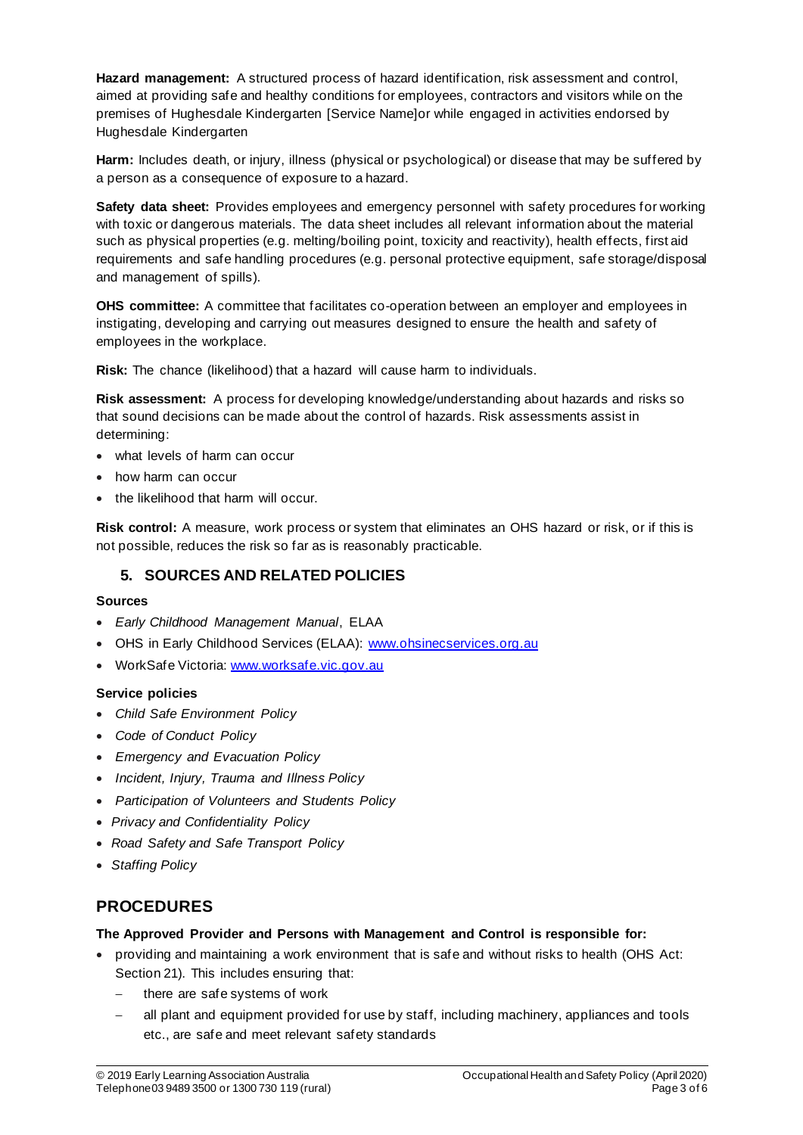**Hazard management:** A structured process of hazard identification, risk assessment and control, aimed at providing safe and healthy conditions for employees, contractors and visitors while on the premises of Hughesdale Kindergarten [Service Name]or while engaged in activities endorsed by Hughesdale Kindergarten

**Harm:** Includes death, or injury, illness (physical or psychological) or disease that may be suffered by a person as a consequence of exposure to a hazard.

**Safety data sheet:** Provides employees and emergency personnel with safety procedures for working with toxic or dangerous materials. The data sheet includes all relevant information about the material such as physical properties (e.g. melting/boiling point, toxicity and reactivity), health effects, first aid requirements and safe handling procedures (e.g. personal protective equipment, safe storage/disposal and management of spills).

**OHS committee:** A committee that facilitates co-operation between an employer and employees in instigating, developing and carrying out measures designed to ensure the health and safety of employees in the workplace.

**Risk:** The chance (likelihood) that a hazard will cause harm to individuals.

**Risk assessment:** A process for developing knowledge/understanding about hazards and risks so that sound decisions can be made about the control of hazards. Risk assessments assist in determining:

- what levels of harm can occur
- how harm can occur
- the likelihood that harm will occur.

**Risk control:** A measure, work process or system that eliminates an OHS hazard or risk, or if this is not possible, reduces the risk so far as is reasonably practicable.

### **5. SOURCES AND RELATED POLICIES**

#### **Sources**

- *Early Childhood Management Manual*, ELAA
- OHS in Early Childhood Services (ELAA): www.ohsinecservices.org.au
- WorkSafe Victoria: www.worksafe.vic.gov.au

#### **Service policies**

- *Child Safe Environment Policy*
- *Code of Conduct Policy*
- *Emergency and Evacuation Policy*
- *Incident, Injury, Trauma and Illness Policy*
- *Participation of Volunteers and Students Policy*
- *Privacy and Confidentiality Policy*
- *Road Safety and Safe Transport Policy*
- *Staffing Policy*

# **PROCEDURES**

#### **The Approved Provider and Persons with Management and Control is responsible for:**

- providing and maintaining a work environment that is safe and without risks to health (OHS Act: Section 21). This includes ensuring that:
	- − there are safe systems of work
	- all plant and equipment provided for use by staff, including machinery, appliances and tools etc., are safe and meet relevant safety standards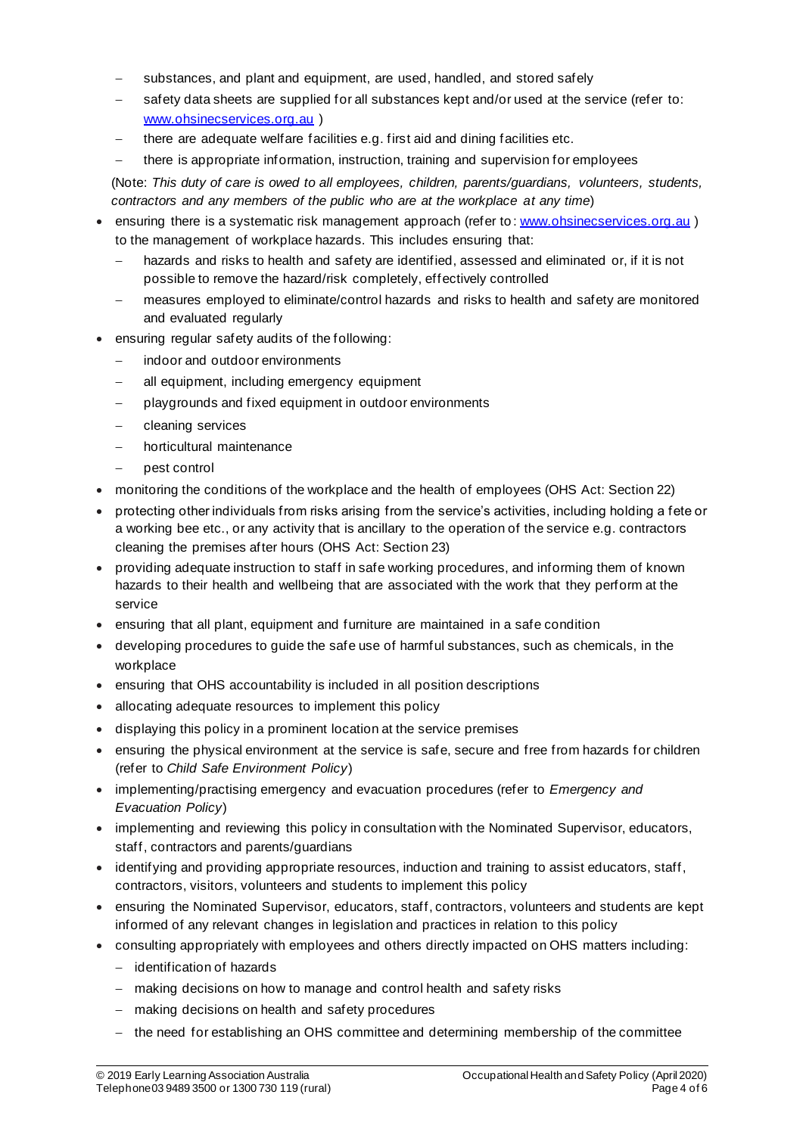- substances, and plant and equipment, are used, handled, and stored safely
- safety data sheets are supplied for all substances kept and/or used at the service (refer to: www.ohsinecservices.org.au )
- there are adequate welfare facilities e.g. first aid and dining facilities etc.
- there is appropriate information, instruction, training and supervision for employees

(Note: *This duty of care is owed to all employees, children, parents/guardians, volunteers, students, contractors and any members of the public who are at the workplace at any time*)

- ensuring there is a systematic risk management approach (refer to: www.ohsinecservices.org.au) to the management of workplace hazards. This includes ensuring that:
	- − hazards and risks to health and safety are identified, assessed and eliminated or, if it is not possible to remove the hazard/risk completely, effectively controlled
	- measures employed to eliminate/control hazards and risks to health and safety are monitored and evaluated regularly
- ensuring regular safety audits of the following:
	- indoor and outdoor environments
	- all equipment, including emergency equipment
	- playgrounds and fixed equipment in outdoor environments
	- − cleaning services
	- − horticultural maintenance
	- − pest control
- monitoring the conditions of the workplace and the health of employees (OHS Act: Section 22)
- protecting other individuals from risks arising from the service's activities, including holding a fete or a working bee etc., or any activity that is ancillary to the operation of the service e.g. contractors cleaning the premises after hours (OHS Act: Section 23)
- providing adequate instruction to staff in safe working procedures, and informing them of known hazards to their health and wellbeing that are associated with the work that they perform at the service
- ensuring that all plant, equipment and furniture are maintained in a safe condition
- developing procedures to guide the safe use of harmful substances, such as chemicals, in the workplace
- ensuring that OHS accountability is included in all position descriptions
- allocating adequate resources to implement this policy
- displaying this policy in a prominent location at the service premises
- ensuring the physical environment at the service is safe, secure and free from hazards for children (refer to *Child Safe Environment Policy*)
- implementing/practising emergency and evacuation procedures (refer to *Emergency and Evacuation Policy*)
- implementing and reviewing this policy in consultation with the Nominated Supervisor, educators, staff, contractors and parents/guardians
- identifying and providing appropriate resources, induction and training to assist educators, staff, contractors, visitors, volunteers and students to implement this policy
- ensuring the Nominated Supervisor, educators, staff, contractors, volunteers and students are kept informed of any relevant changes in legislation and practices in relation to this policy
- consulting appropriately with employees and others directly impacted on OHS matters including:
	- − identification of hazards
	- − making decisions on how to manage and control health and safety risks
	- − making decisions on health and safety procedures
	- the need for establishing an OHS committee and determining membership of the committee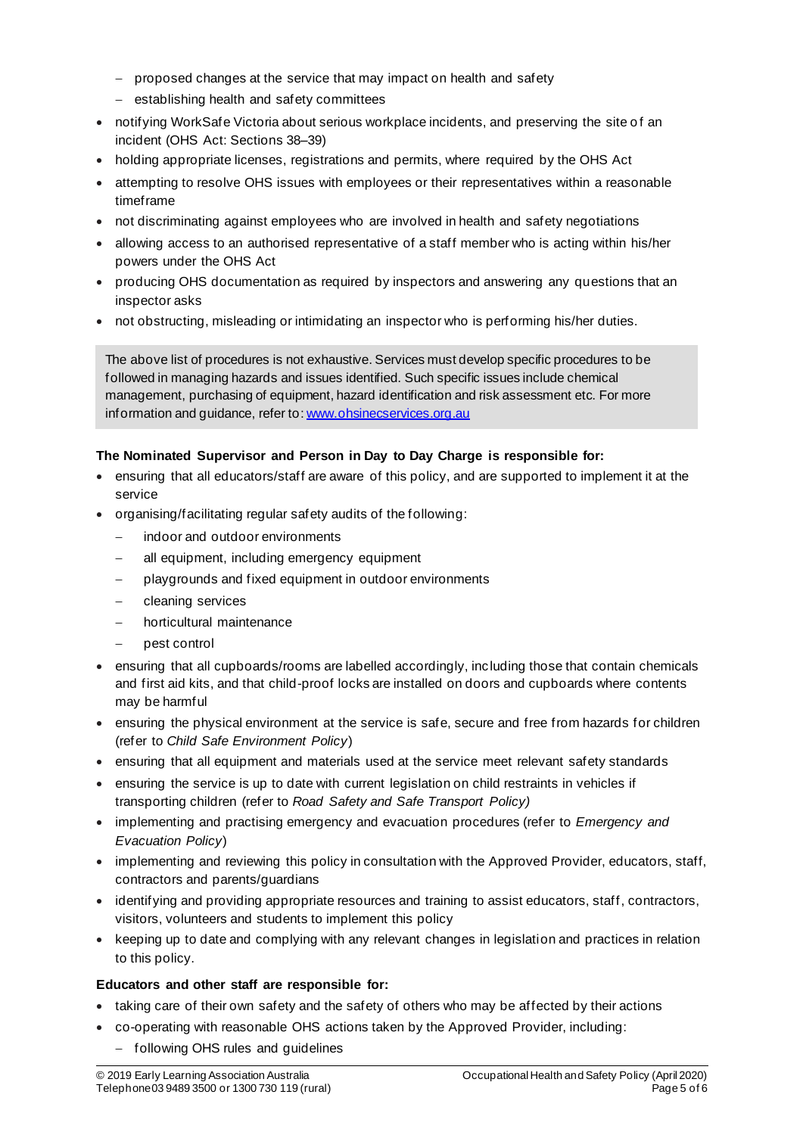- − proposed changes at the service that may impact on health and safety
- − establishing health and safety committees
- notifying WorkSafe Victoria about serious workplace incidents, and preserving the site of an incident (OHS Act: Sections 38–39)
- holding appropriate licenses, registrations and permits, where required by the OHS Act
- attempting to resolve OHS issues with employees or their representatives within a reasonable timeframe
- not discriminating against employees who are involved in health and safety negotiations
- allowing access to an authorised representative of a staff member who is acting within his/her powers under the OHS Act
- producing OHS documentation as required by inspectors and answering any questions that an inspector asks
- not obstructing, misleading or intimidating an inspector who is performing his/her duties.

The above list of procedures is not exhaustive. Services must develop specific procedures to be followed in managing hazards and issues identified. Such specific issues include chemical management, purchasing of equipment, hazard identification and risk assessment etc. For more information and guidance, refer to: www.ohsinecservices.org.au

#### **The Nominated Supervisor and Person in Day to Day Charge is responsible for:**

- ensuring that all educators/staff are aware of this policy, and are supported to implement it at the service
- organising/facilitating regular safety audits of the following:
	- indoor and outdoor environments
	- all equipment, including emergency equipment
	- playgrounds and fixed equipment in outdoor environments
	- − cleaning services
	- − horticultural maintenance
	- − pest control
- ensuring that all cupboards/rooms are labelled accordingly, including those that contain chemicals and first aid kits, and that child-proof locks are installed on doors and cupboards where contents may be harmful
- ensuring the physical environment at the service is safe, secure and free from hazards for children (refer to *Child Safe Environment Policy*)
- ensuring that all equipment and materials used at the service meet relevant safety standards
- ensuring the service is up to date with current legislation on child restraints in vehicles if transporting children (refer to *Road Safety and Safe Transport Policy)*
- implementing and practising emergency and evacuation procedures (refer to *Emergency and Evacuation Policy*)
- implementing and reviewing this policy in consultation with the Approved Provider, educators, staff, contractors and parents/guardians
- identifying and providing appropriate resources and training to assist educators, staff, contractors, visitors, volunteers and students to implement this policy
- keeping up to date and complying with any relevant changes in legislation and practices in relation to this policy.

#### **Educators and other staff are responsible for:**

- taking care of their own safety and the safety of others who may be affected by their actions
- co-operating with reasonable OHS actions taken by the Approved Provider, including:
	- − following OHS rules and guidelines